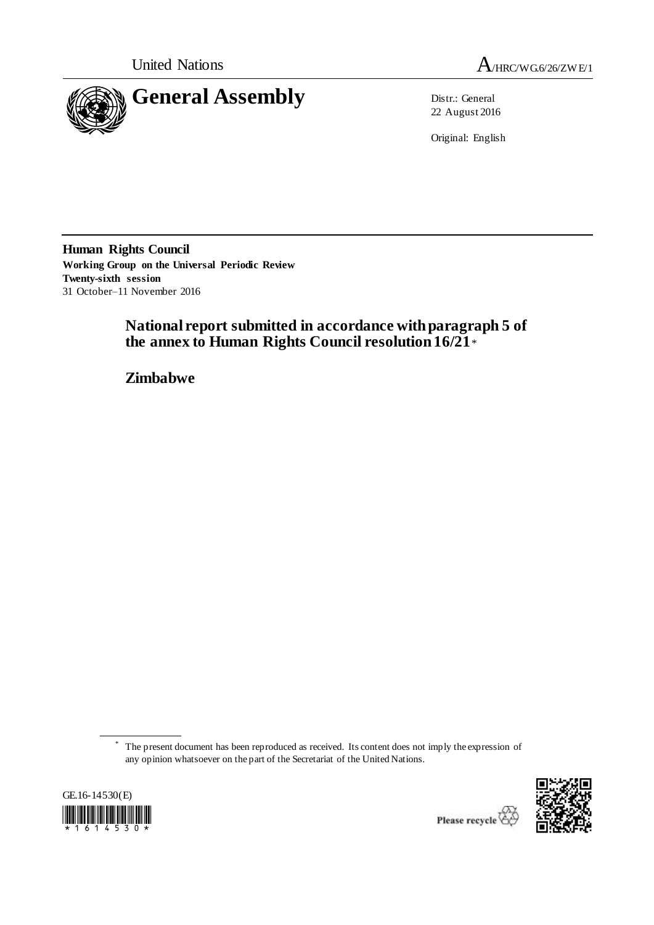



22 August 2016

Original: English

**Human Rights Council Working Group on the Universal Periodic Review Twenty-sixth session** 31 October–11 November 2016

# **National report submitted in accordance with paragraph 5 of the annex to Human Rights Council resolution 16/21**\*

**Zimbabwe**

<sup>\*</sup> The present document has been reproduced as received. Its content does not imply the expression of any opinion whatsoever on the part of the Secretariat of the United Nations.





Please recycle<sup>2</sup>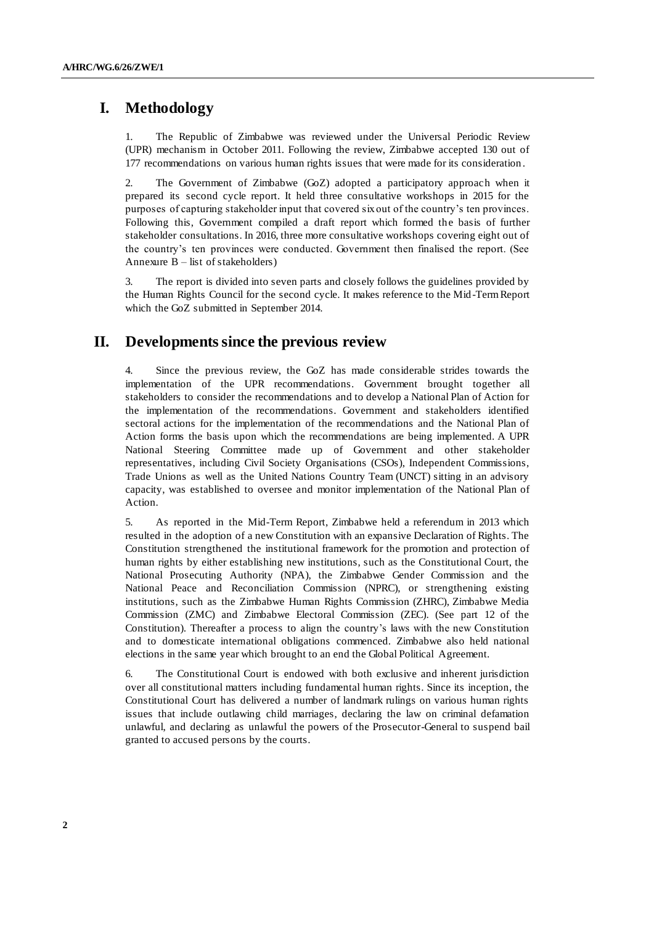## **I. Methodology**

1. The Republic of Zimbabwe was reviewed under the Universal Periodic Review (UPR) mechanism in October 2011. Following the review, Zimbabwe accepted 130 out of 177 recommendations on various human rights issues that were made for its consideration .

2. The Government of Zimbabwe (GoZ) adopted a participatory approach when it prepared its second cycle report. It held three consultative workshops in 2015 for the purposes of capturing stakeholder input that covered six out of the country's ten provinces. Following this, Government compiled a draft report which formed the basis of further stakeholder consultations. In 2016, three more consultative workshops covering eight out of the country's ten provinces were conducted. Government then finalised the report. (See Annexure B – list of stakeholders)

3. The report is divided into seven parts and closely follows the guidelines provided by the Human Rights Council for the second cycle. It makes reference to the Mid-Term Report which the GoZ submitted in September 2014.

## **II. Developments since the previous review**

4. Since the previous review, the GoZ has made considerable strides towards the implementation of the UPR recommendations. Government brought together all stakeholders to consider the recommendations and to develop a National Plan of Action for the implementation of the recommendations. Government and stakeholders identified sectoral actions for the implementation of the recommendations and the National Plan of Action forms the basis upon which the recommendations are being implemented. A UPR National Steering Committee made up of Government and other stakeholder representatives, including Civil Society Organisations (CSOs), Independent Commissions, Trade Unions as well as the United Nations Country Team (UNCT) sitting in an advisory capacity, was established to oversee and monitor implementation of the National Plan of Action.

5. As reported in the Mid-Term Report, Zimbabwe held a referendum in 2013 which resulted in the adoption of a new Constitution with an expansive Declaration of Rights. The Constitution strengthened the institutional framework for the promotion and protection of human rights by either establishing new institutions, such as the Constitutional Court, the National Prosecuting Authority (NPA), the Zimbabwe Gender Commission and the National Peace and Reconciliation Commission (NPRC), or strengthening existing institutions, such as the Zimbabwe Human Rights Commission (ZHRC), Zimbabwe Media Commission (ZMC) and Zimbabwe Electoral Commission (ZEC). (See part 12 of the Constitution). Thereafter a process to align the country's laws with the new Constitution and to domesticate international obligations commenced. Zimbabwe also held national elections in the same year which brought to an end the Global Political Agreement.

6. The Constitutional Court is endowed with both exclusive and inherent jurisdiction over all constitutional matters including fundamental human rights. Since its inception, the Constitutional Court has delivered a number of landmark rulings on various human rights issues that include outlawing child marriages, declaring the law on criminal defamation unlawful, and declaring as unlawful the powers of the Prosecutor-General to suspend bail granted to accused persons by the courts.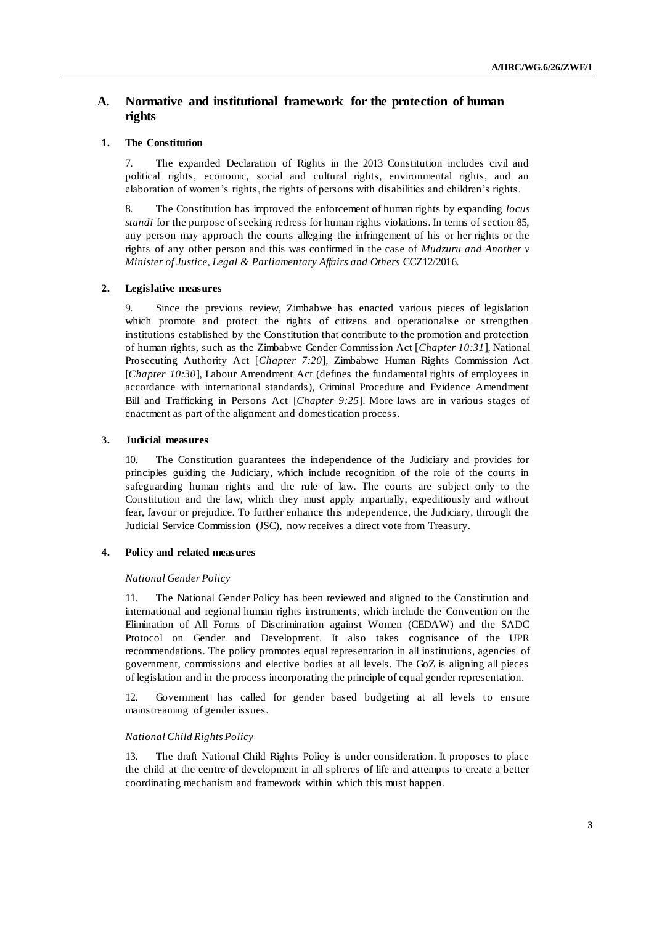## **A. Normative and institutional framework for the protection of human rights**

## **1. The Constitution**

7. The expanded Declaration of Rights in the 2013 Constitution includes civil and political rights, economic, social and cultural rights, environmental rights, and an elaboration of women's rights, the rights of persons with disabilities and children's rights.

8. The Constitution has improved the enforcement of human rights by expanding *locus standi* for the purpose of seeking redress for human rights violations. In terms of section 85, any person may approach the courts alleging the infringement of his or her rights or the rights of any other person and this was confirmed in the case of *Mudzuru and Another v Minister of Justice, Legal & Parliamentary Affairs and Others* CCZ12/2016.

## **2. Legislative measures**

9. Since the previous review, Zimbabwe has enacted various pieces of legislation which promote and protect the rights of citizens and operationalise or strengthen institutions established by the Constitution that contribute to the promotion and protection of human rights, such as the Zimbabwe Gender Commission Act [*Chapter 10:31*], National Prosecuting Authority Act [*Chapter 7:20*], Zimbabwe Human Rights Commission Act [*Chapter 10:30*], Labour Amendment Act (defines the fundamental rights of employees in accordance with international standards), Criminal Procedure and Evidence Amendment Bill and Trafficking in Persons Act [*Chapter 9:25*]. More laws are in various stages of enactment as part of the alignment and domestication process.

## **3. Judicial measures**

10. The Constitution guarantees the independence of the Judiciary and provides for principles guiding the Judiciary, which include recognition of the role of the courts in safeguarding human rights and the rule of law. The courts are subject only to the Constitution and the law, which they must apply impartially, expeditiously and without fear, favour or prejudice. To further enhance this independence, the Judiciary, through the Judicial Service Commission (JSC), now receives a direct vote from Treasury.

## **4. Policy and related measures**

#### *National Gender Policy*

11. The National Gender Policy has been reviewed and aligned to the Constitution and international and regional human rights instruments, which include the Convention on the Elimination of All Forms of Discrimination against Women (CEDAW) and the SADC Protocol on Gender and Development. It also takes cognisance of the UPR recommendations. The policy promotes equal representation in all institutions, agencies of government, commissions and elective bodies at all levels. The GoZ is aligning all pieces of legislation and in the process incorporating the principle of equal gender representation.

12. Government has called for gender based budgeting at all levels to ensure mainstreaming of gender issues.

#### *National Child Rights Policy*

13. The draft National Child Rights Policy is under consideration. It proposes to place the child at the centre of development in all spheres of life and attempts to create a better coordinating mechanism and framework within which this must happen.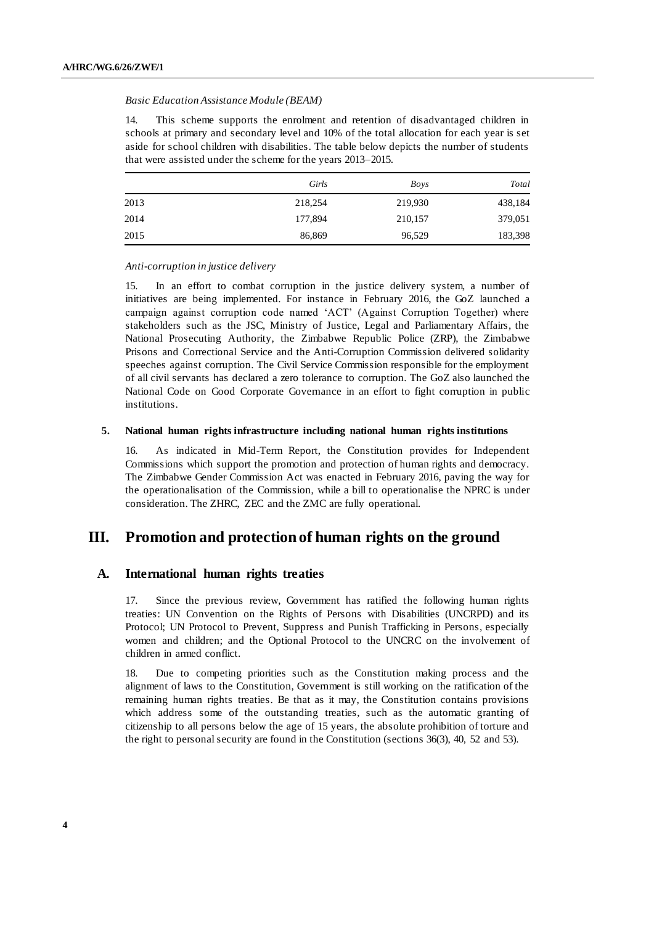#### *Basic Education Assistance Module (BEAM)*

14. This scheme supports the enrolment and retention of disadvantaged children in schools at primary and secondary level and 10% of the total allocation for each year is set aside for school children with disabilities. The table below depicts the number of students that were assisted under the scheme for the years 2013–2015.

|      | Girls   | Boys    | Total   |
|------|---------|---------|---------|
| 2013 | 218,254 | 219,930 | 438,184 |
| 2014 | 177,894 | 210,157 | 379,051 |
| 2015 | 86,869  | 96,529  | 183,398 |

#### *Anti-corruption in justice delivery*

15. In an effort to combat corruption in the justice delivery system, a number of initiatives are being implemented. For instance in February 2016, the GoZ launched a campaign against corruption code named 'ACT' (Against Corruption Together) where stakeholders such as the JSC, Ministry of Justice, Legal and Parliamentary Affairs, the National Prosecuting Authority, the Zimbabwe Republic Police (ZRP), the Zimbabwe Prisons and Correctional Service and the Anti-Corruption Commission delivered solidarity speeches against corruption. The Civil Service Commission responsible for the employment of all civil servants has declared a zero tolerance to corruption. The GoZ also launched the National Code on Good Corporate Governance in an effort to fight corruption in public institutions.

#### **5. National human rights infrastructure including national human rights institutions**

16. As indicated in Mid-Term Report, the Constitution provides for Independent Commissions which support the promotion and protection of human rights and democracy. The Zimbabwe Gender Commission Act was enacted in February 2016, paving the way for the operationalisation of the Commission, while a bill to operationalise the NPRC is under consideration. The ZHRC, ZEC and the ZMC are fully operational.

## **III. Promotion and protection of human rights on the ground**

## **A. International human rights treaties**

17. Since the previous review, Government has ratified the following human rights treaties: UN Convention on the Rights of Persons with Disabilities (UNCRPD) and its Protocol; UN Protocol to Prevent, Suppress and Punish Trafficking in Persons, especially women and children; and the Optional Protocol to the UNCRC on the involvement of children in armed conflict.

18. Due to competing priorities such as the Constitution making process and the alignment of laws to the Constitution, Government is still working on the ratification of the remaining human rights treaties. Be that as it may, the Constitution contains provisions which address some of the outstanding treaties, such as the automatic granting of citizenship to all persons below the age of 15 years, the absolute prohibition of torture and the right to personal security are found in the Constitution (sections 36(3), 40, 52 and 53).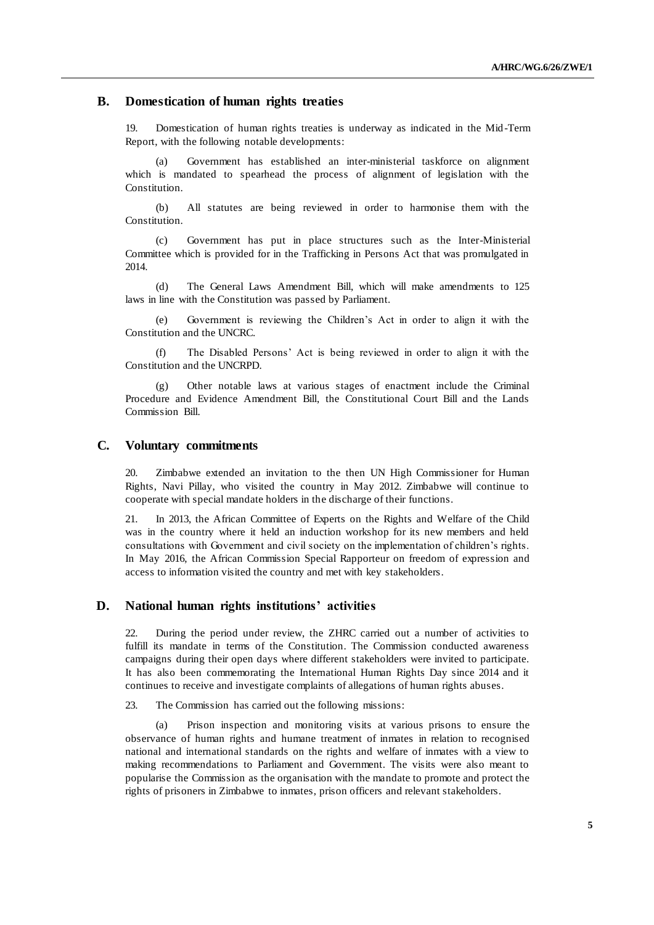## **B. Domestication of human rights treaties**

19. Domestication of human rights treaties is underway as indicated in the Mid -Term Report, with the following notable developments:

(a) Government has established an inter-ministerial taskforce on alignment which is mandated to spearhead the process of alignment of legislation with the Constitution.

(b) All statutes are being reviewed in order to harmonise them with the Constitution.

(c) Government has put in place structures such as the Inter-Ministerial Committee which is provided for in the Trafficking in Persons Act that was promulgated in 2014.

(d) The General Laws Amendment Bill, which will make amendments to 125 laws in line with the Constitution was passed by Parliament.

(e) Government is reviewing the Children's Act in order to align it with the Constitution and the UNCRC.

(f) The Disabled Persons' Act is being reviewed in order to align it with the Constitution and the UNCRPD.

Other notable laws at various stages of enactment include the Criminal Procedure and Evidence Amendment Bill, the Constitutional Court Bill and the Lands Commission Bill.

## **C. Voluntary commitments**

20. Zimbabwe extended an invitation to the then UN High Commissioner for Human Rights, Navi Pillay, who visited the country in May 2012. Zimbabwe will continue to cooperate with special mandate holders in the discharge of their functions.

21. In 2013, the African Committee of Experts on the Rights and Welfare of the Child was in the country where it held an induction workshop for its new members and held consultations with Government and civil society on the implementation of children's rights. In May 2016, the African Commission Special Rapporteur on freedom of expression and access to information visited the country and met with key stakeholders.

## **D. National human rights institutions' activities**

22. During the period under review, the ZHRC carried out a number of activities to fulfill its mandate in terms of the Constitution. The Commission conducted awareness campaigns during their open days where different stakeholders were invited to participate. It has also been commemorating the International Human Rights Day since 2014 and it continues to receive and investigate complaints of allegations of human rights abuses.

23. The Commission has carried out the following missions:

(a) Prison inspection and monitoring visits at various prisons to ensure the observance of human rights and humane treatment of inmates in relation to recognised national and international standards on the rights and welfare of inmates with a view to making recommendations to Parliament and Government. The visits were also meant to popularise the Commission as the organisation with the mandate to promote and protect the rights of prisoners in Zimbabwe to inmates, prison officers and relevant stakeholders.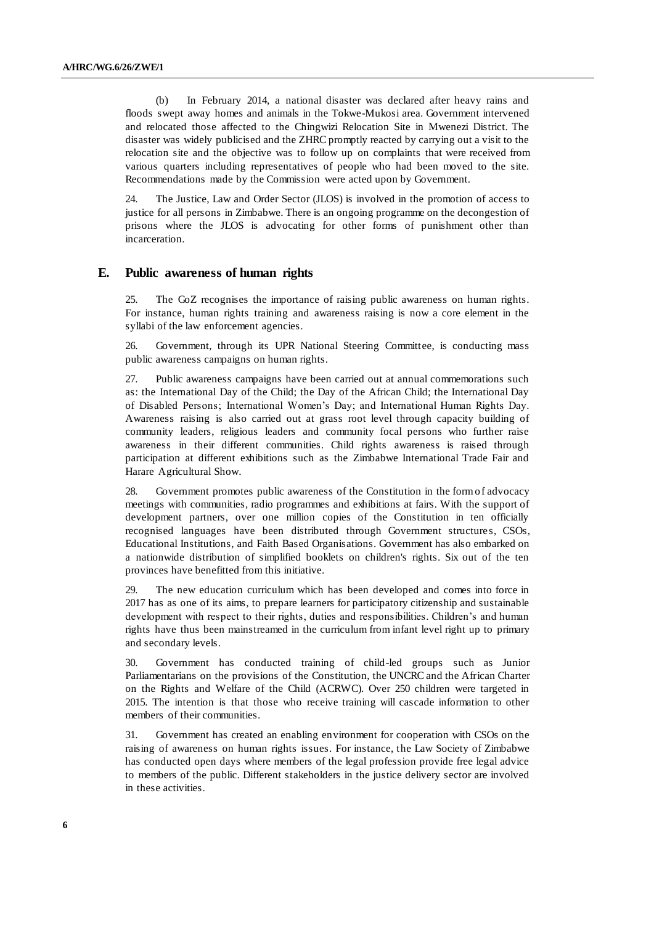(b) In February 2014, a national disaster was declared after heavy rains and floods swept away homes and animals in the Tokwe-Mukosi area. Government intervened and relocated those affected to the Chingwizi Relocation Site in Mwenezi District. The disaster was widely publicised and the ZHRC promptly reacted by carrying out a visit to the relocation site and the objective was to follow up on complaints that were received from various quarters including representatives of people who had been moved to the site. Recommendations made by the Commission were acted upon by Government.

24. The Justice, Law and Order Sector (JLOS) is involved in the promotion of access to justice for all persons in Zimbabwe. There is an ongoing programme on the decongestion of prisons where the JLOS is advocating for other forms of punishment other than incarceration.

## **E. Public awareness of human rights**

25. The GoZ recognises the importance of raising public awareness on human rights. For instance, human rights training and awareness raising is now a core element in the syllabi of the law enforcement agencies.

26. Government, through its UPR National Steering Committee, is conducting mass public awareness campaigns on human rights.

27. Public awareness campaigns have been carried out at annual commemorations such as: the International Day of the Child; the Day of the African Child; the International Day of Disabled Persons; International Women's Day; and International Human Rights Day. Awareness raising is also carried out at grass root level through capacity building of community leaders, religious leaders and community focal persons who further raise awareness in their different communities. Child rights awareness is raised through participation at different exhibitions such as the Zimbabwe International Trade Fair and Harare Agricultural Show.

28. Government promotes public awareness of the Constitution in the form of advocacy meetings with communities, radio programmes and exhibitions at fairs. With the support of development partners, over one million copies of the Constitution in ten officially recognised languages have been distributed through Government structures, CSOs, Educational Institutions, and Faith Based Organisations. Government has also embarked on a nationwide distribution of simplified booklets on children's rights. Six out of the ten provinces have benefitted from this initiative.

29. The new education curriculum which has been developed and comes into force in 2017 has as one of its aims, to prepare learners for participatory citizenship and sustainable development with respect to their rights, duties and responsibilities. Children's and human rights have thus been mainstreamed in the curriculum from infant level right up to primary and secondary levels.

30. Government has conducted training of child-led groups such as Junior Parliamentarians on the provisions of the Constitution, the UNCRC and the African Charter on the Rights and Welfare of the Child (ACRWC). Over 250 children were targeted in 2015. The intention is that those who receive training will cascade information to other members of their communities.

31. Government has created an enabling environment for cooperation with CSOs on the raising of awareness on human rights issues. For instance, the Law Society of Zimbabwe has conducted open days where members of the legal profession provide free legal advice to members of the public. Different stakeholders in the justice delivery sector are involved in these activities.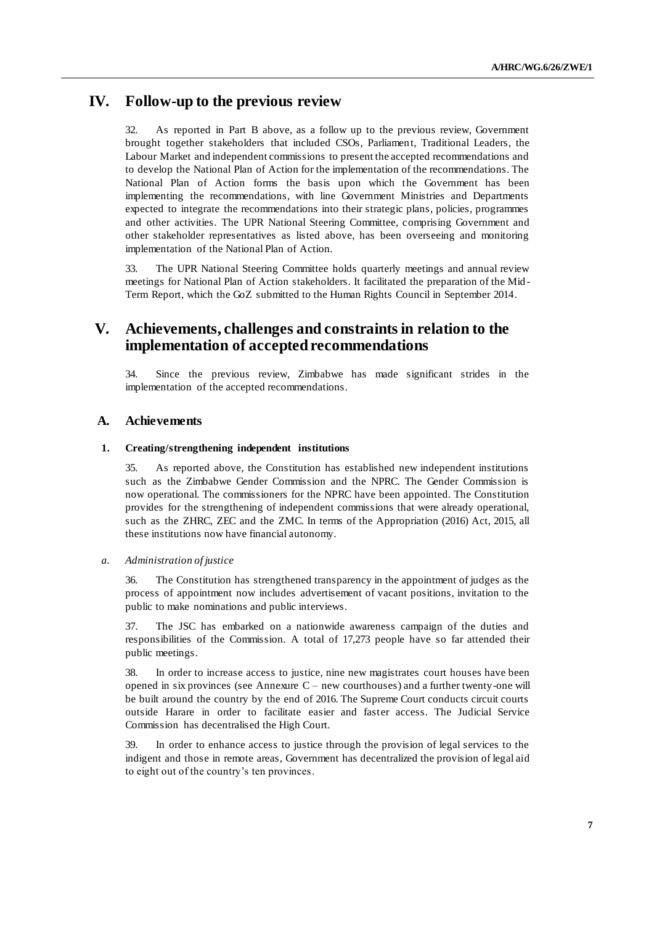## **IV. Follow-up to the previous review**

32. As reported in Part B above, as a follow up to the previous review, Government brought together stakeholders that included CSOs, Parliament, Traditional Leaders, the Labour Market and independent commissions to present the accepted recommendations and to develop the National Plan of Action for the implementation of the recommendations. The National Plan of Action forms the basis upon which the Government has been implementing the recommendations, with line Government Ministries and Departments expected to integrate the recommendations into their strategic plans, policies, programmes and other activities. The UPR National Steering Committee, comprising Government and other stakeholder representatives as listed above, has been overseeing and monitoring implementation of the National Plan of Action.

33. The UPR National Steering Committee holds quarterly meetings and annual review meetings for National Plan of Action stakeholders. It facilitated the preparation of the Mid - Term Report, which the GoZ submitted to the Human Rights Council in September 2014.

## **V. Achievements, challenges and constraints in relation to the implementation of accepted recommendations**

34. Since the previous review, Zimbabwe has made significant strides in the implementation of the accepted recommendations.

## **A. Achievements**

## **1. Creating/strengthening independent institutions**

35. As reported above, the Constitution has established new independent institutions such as the Zimbabwe Gender Commission and the NPRC. The Gender Commission is now operational. The commissioners for the NPRC have been appointed. The Constitution provides for the strengthening of independent commissions that were already operational, such as the ZHRC, ZEC and the ZMC. In terms of the Appropriation (2016) Act, 2015, all these institutions now have financial autonomy.

## *a. Administration of justice*

36. The Constitution has strengthened transparency in the appointment of judges as the process of appointment now includes advertisement of vacant positions, invitation to the public to make nominations and public interviews.

37. The JSC has embarked on a nationwide awareness campaign of the duties and responsibilities of the Commission. A total of 17,273 people have so far attended their public meetings.

38. In order to increase access to justice, nine new magistrates court houses have been opened in six provinces (see Annexure C – new courthouses) and a further twenty-one will be built around the country by the end of 2016. The Supreme Court conducts circuit courts outside Harare in order to facilitate easier and faster access. The Judicial Service Commission has decentralised the High Court.

39. In order to enhance access to justice through the provision of legal services to the indigent and those in remote areas, Government has decentralized the provision of legal aid to eight out of the country's ten provinces.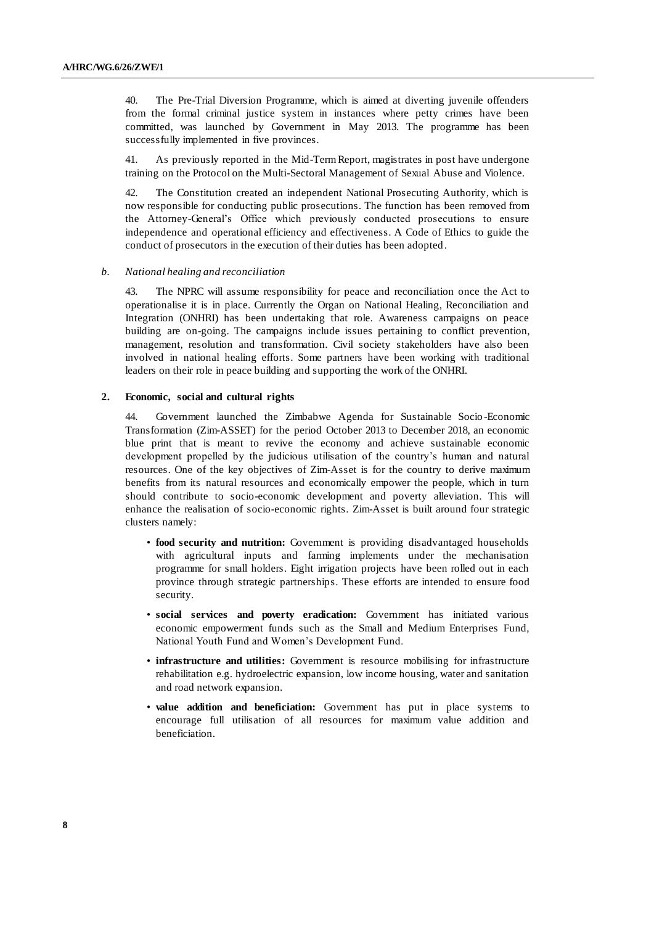40. The Pre-Trial Diversion Programme, which is aimed at diverting juvenile offenders from the formal criminal justice system in instances where petty crimes have been committed, was launched by Government in May 2013. The programme has been successfully implemented in five provinces.

41. As previously reported in the Mid-Term Report, magistrates in post have undergone training on the Protocol on the Multi-Sectoral Management of Sexual Abuse and Violence.

42. The Constitution created an independent National Prosecuting Authority, which is now responsible for conducting public prosecutions. The function has been removed from the Attorney-General's Office which previously conducted prosecutions to ensure independence and operational efficiency and effectiveness. A Code of Ethics to guide the conduct of prosecutors in the execution of their duties has been adopted.

#### *b. National healing and reconciliation*

43. The NPRC will assume responsibility for peace and reconciliation once the Act to operationalise it is in place. Currently the Organ on National Healing, Reconciliation and Integration (ONHRI) has been undertaking that role. Awareness campaigns on peace building are on-going. The campaigns include issues pertaining to conflict prevention, management, resolution and transformation. Civil society stakeholders have also been involved in national healing efforts. Some partners have been working with traditional leaders on their role in peace building and supporting the work of the ONHRI.

#### **2. Economic, social and cultural rights**

44. Government launched the Zimbabwe Agenda for Sustainable Socio -Economic Transformation (Zim-ASSET) for the period October 2013 to December 2018, an economic blue print that is meant to revive the economy and achieve sustainable economic development propelled by the judicious utilisation of the country's human and natural resources. One of the key objectives of Zim-Asset is for the country to derive maximum benefits from its natural resources and economically empower the people, which in turn should contribute to socio-economic development and poverty alleviation. This will enhance the realisation of socio-economic rights. Zim-Asset is built around four strategic clusters namely:

- **food security and nutrition:** Government is providing disadvantaged households with agricultural inputs and farming implements under the mechanisation programme for small holders. Eight irrigation projects have been rolled out in each province through strategic partnerships. These efforts are intended to ensure food security.
- **social services and poverty eradication:** Government has initiated various economic empowerment funds such as the Small and Medium Enterprises Fund, National Youth Fund and Women's Development Fund.
- **infrastructure and utilities:** Government is resource mobilising for infrastructure rehabilitation e.g. hydroelectric expansion, low income housing, water and sanitation and road network expansion.
- **value addition and beneficiation:** Government has put in place systems to encourage full utilisation of all resources for maximum value addition and beneficiation.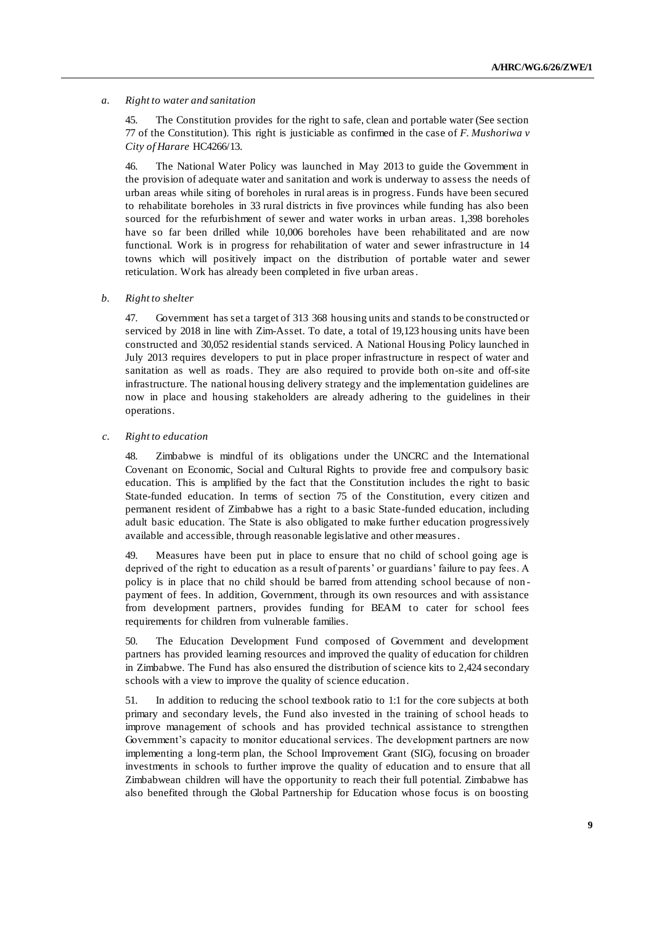#### *a. Right to water and sanitation*

45. The Constitution provides for the right to safe, clean and portable water (See section 77 of the Constitution). This right is justiciable as confirmed in the case of *F. Mushoriwa v City of Harare* HC4266/13.

46. The National Water Policy was launched in May 2013 to guide the Government in the provision of adequate water and sanitation and work is underway to assess the needs of urban areas while siting of boreholes in rural areas is in progress. Funds have been secured to rehabilitate boreholes in 33 rural districts in five provinces while funding has also been sourced for the refurbishment of sewer and water works in urban areas. 1,398 boreholes have so far been drilled while 10,006 boreholes have been rehabilitated and are now functional. Work is in progress for rehabilitation of water and sewer infrastructure in 14 towns which will positively impact on the distribution of portable water and sewer reticulation. Work has already been completed in five urban areas.

#### *b. Right to shelter*

47. Government has set a target of 313 368 housing units and stands to be constructed or serviced by 2018 in line with Zim-Asset. To date, a total of 19,123 housing units have been constructed and 30,052 residential stands serviced. A National Housing Policy launched in July 2013 requires developers to put in place proper infrastructure in respect of water and sanitation as well as roads. They are also required to provide both on-site and off-site infrastructure. The national housing delivery strategy and the implementation guidelines are now in place and housing stakeholders are already adhering to the guidelines in their operations.

*c. Right to education*

48. Zimbabwe is mindful of its obligations under the UNCRC and the International Covenant on Economic, Social and Cultural Rights to provide free and compulsory basic education. This is amplified by the fact that the Constitution includes the right to basic State-funded education. In terms of section 75 of the Constitution, every citizen and permanent resident of Zimbabwe has a right to a basic State-funded education, including adult basic education. The State is also obligated to make further education progressively available and accessible, through reasonable legislative and other measures.

49. Measures have been put in place to ensure that no child of school going age is deprived of the right to education as a result of parents' or guardians' failure to pay fees. A policy is in place that no child should be barred from attending school because of non payment of fees. In addition, Government, through its own resources and with assistance from development partners, provides funding for BEAM to cater for school fees requirements for children from vulnerable families.

50. The Education Development Fund composed of Government and development partners has provided learning resources and improved the quality of education for children in Zimbabwe. The Fund has also ensured the distribution of science kits to 2,424 secondary schools with a view to improve the quality of science education.

51. In addition to reducing the school textbook ratio to 1:1 for the core subjects at both primary and secondary levels, the Fund also invested in the training of school heads to improve management of schools and has provided technical assistance to strengthen Government's capacity to monitor educational services. The development partners are now implementing a long-term plan, the School Improvement Grant (SIG), focusing on broader investments in schools to further improve the quality of education and to ensure that all Zimbabwean children will have the opportunity to reach their full potential. Zimbabwe has also benefited through the Global Partnership for Education whose focus is on boosting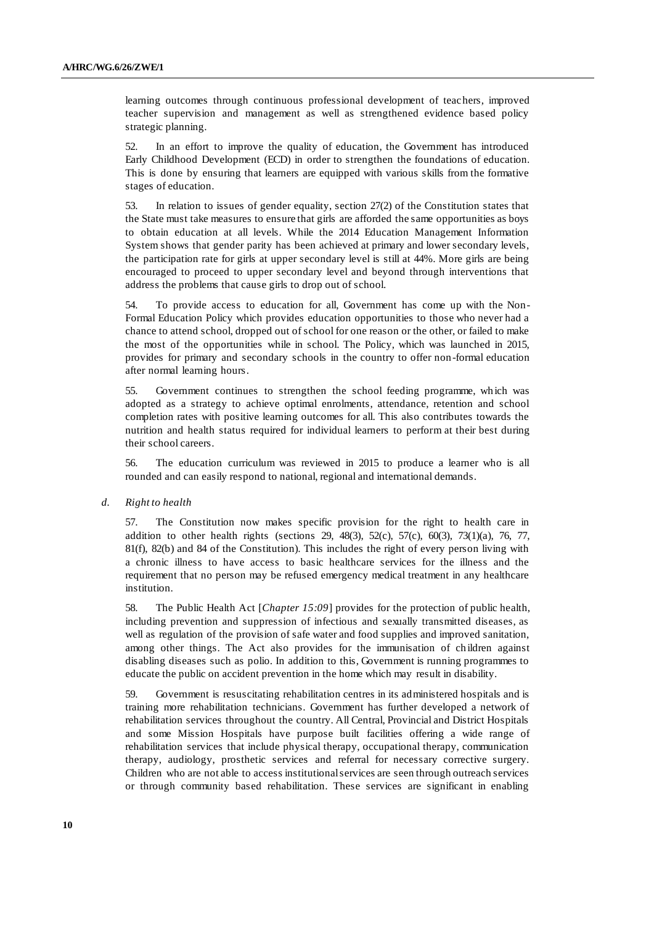learning outcomes through continuous professional development of teachers, improved teacher supervision and management as well as strengthened evidence based policy strategic planning.

52. In an effort to improve the quality of education, the Government has introduced Early Childhood Development (ECD) in order to strengthen the foundations of education. This is done by ensuring that learners are equipped with various skills from the formative stages of education.

53. In relation to issues of gender equality, section 27(2) of the Constitution states that the State must take measures to ensure that girls are afforded the same opportunities as boys to obtain education at all levels. While the 2014 Education Management Information System shows that gender parity has been achieved at primary and lower secondary levels, the participation rate for girls at upper secondary level is still at 44%. More girls are being encouraged to proceed to upper secondary level and beyond through interventions that address the problems that cause girls to drop out of school.

54. To provide access to education for all, Government has come up with the Non-Formal Education Policy which provides education opportunities to those who never had a chance to attend school, dropped out of school for one reason or the other, or failed to make the most of the opportunities while in school. The Policy, which was launched in 2015, provides for primary and secondary schools in the country to offer non -formal education after normal learning hours.

55. Government continues to strengthen the school feeding programme, wh ich was adopted as a strategy to achieve optimal enrolments, attendance, retention and school completion rates with positive learning outcomes for all. This also contributes towards the nutrition and health status required for individual learners to perform at their best during their school careers.

56. The education curriculum was reviewed in 2015 to produce a learner who is all rounded and can easily respond to national, regional and international demands.

*d. Right to health*

57. The Constitution now makes specific provision for the right to health care in addition to other health rights (sections 29, 48(3), 52(c), 57(c), 60(3), 73(1)(a), 76, 77, 81(f), 82(b) and 84 of the Constitution). This includes the right of every person living with a chronic illness to have access to basic healthcare services for the illness and the requirement that no person may be refused emergency medical treatment in any healthcare institution.

58. The Public Health Act [*Chapter 15:09*] provides for the protection of public health, including prevention and suppression of infectious and sexually transmitted diseases, as well as regulation of the provision of safe water and food supplies and improved sanitation, among other things. The Act also provides for the immunisation of ch ildren against disabling diseases such as polio. In addition to this, Government is running programmes to educate the public on accident prevention in the home which may result in disability.

59. Government is resuscitating rehabilitation centres in its administered hospitals and is training more rehabilitation technicians. Government has further developed a network of rehabilitation services throughout the country. All Central, Provincial and District Hospitals and some Mission Hospitals have purpose built facilities offering a wide range of rehabilitation services that include physical therapy, occupational therapy, communication therapy, audiology, prosthetic services and referral for necessary corrective surgery. Children who are not able to access institutional services are seen through outreach services or through community based rehabilitation. These services are significant in enabling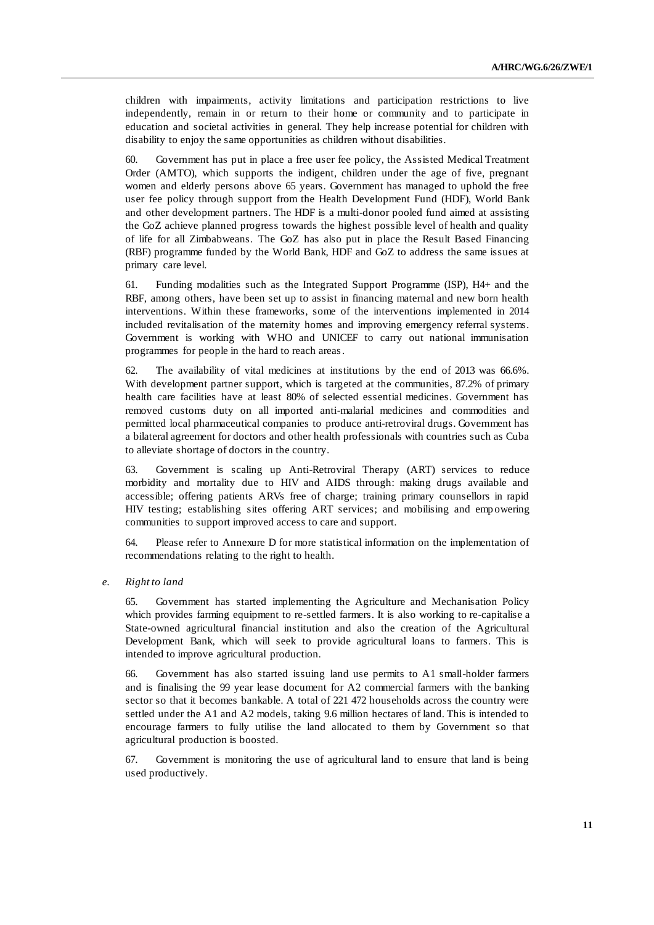children with impairments, activity limitations and participation restrictions to live independently, remain in or return to their home or community and to participate in education and societal activities in general. They help increase potential for children with disability to enjoy the same opportunities as children without disabilities.

60. Government has put in place a free user fee policy, the Assisted Medical Treatment Order (AMTO), which supports the indigent, children under the age of five, pregnant women and elderly persons above 65 years. Government has managed to uphold the free user fee policy through support from the Health Development Fund (HDF), World Bank and other development partners. The HDF is a multi-donor pooled fund aimed at assisting the GoZ achieve planned progress towards the highest possible level of health and quality of life for all Zimbabweans. The GoZ has also put in place the Result Based Financing (RBF) programme funded by the World Bank, HDF and GoZ to address the same issues at primary care level.

61. Funding modalities such as the Integrated Support Programme (ISP), H4+ and the RBF, among others, have been set up to assist in financing maternal and new born health interventions. Within these frameworks, some of the interventions implemented in 2014 included revitalisation of the maternity homes and improving emergency referral systems. Government is working with WHO and UNICEF to carry out national immunisation programmes for people in the hard to reach areas.

62. The availability of vital medicines at institutions by the end of 2013 was 66.6%. With development partner support, which is targeted at the communities, 87.2% of primary health care facilities have at least 80% of selected essential medicines. Government has removed customs duty on all imported anti-malarial medicines and commodities and permitted local pharmaceutical companies to produce anti-retroviral drugs. Government has a bilateral agreement for doctors and other health professionals with countries such as Cuba to alleviate shortage of doctors in the country.

63. Government is scaling up Anti-Retroviral Therapy (ART) services to reduce morbidity and mortality due to HIV and AIDS through: making drugs available and accessible; offering patients ARVs free of charge; training primary counsellors in rapid HIV testing; establishing sites offering ART services; and mobilising and emp owering communities to support improved access to care and support.

64. Please refer to Annexure D for more statistical information on the implementation of recommendations relating to the right to health.

*e. Right to land*

65. Government has started implementing the Agriculture and Mechanisation Policy which provides farming equipment to re-settled farmers. It is also working to re-capitalise a State-owned agricultural financial institution and also the creation of the Agricultural Development Bank, which will seek to provide agricultural loans to farmers. This is intended to improve agricultural production.

66. Government has also started issuing land use permits to A1 small-holder farmers and is finalising the 99 year lease document for A2 commercial farmers with the banking sector so that it becomes bankable. A total of 221 472 households across the country were settled under the A1 and A2 models, taking 9.6 million hectares of land. This is intended to encourage farmers to fully utilise the land allocated to them by Government so that agricultural production is boosted.

67. Government is monitoring the use of agricultural land to ensure that land is being used productively.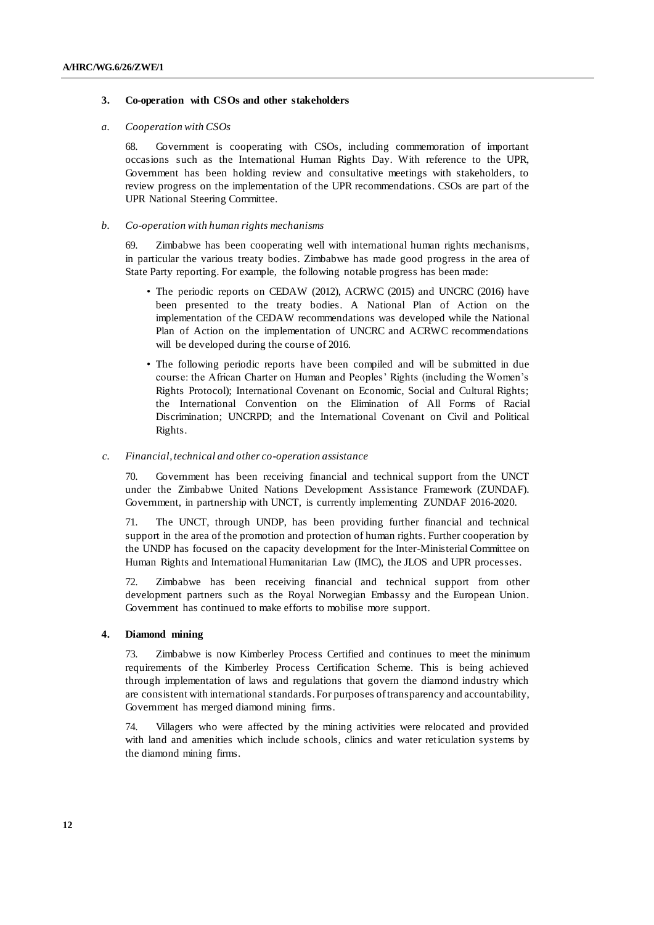## **3. Co-operation with CSOs and other stakeholders**

## *a. Cooperation with CSOs*

68. Government is cooperating with CSOs, including commemoration of important occasions such as the International Human Rights Day. With reference to the UPR, Government has been holding review and consultative meetings with stakeholders, to review progress on the implementation of the UPR recommendations. CSOs are part of the UPR National Steering Committee.

#### *b. Co-operation with human rights mechanisms*

69. Zimbabwe has been cooperating well with international human rights mechanisms, in particular the various treaty bodies. Zimbabwe has made good progress in the area of State Party reporting. For example, the following notable progress has been made:

- The periodic reports on CEDAW (2012), ACRWC (2015) and UNCRC (2016) have been presented to the treaty bodies. A National Plan of Action on the implementation of the CEDAW recommendations was developed while the National Plan of Action on the implementation of UNCRC and ACRWC recommendations will be developed during the course of 2016.
- The following periodic reports have been compiled and will be submitted in due course: the African Charter on Human and Peoples' Rights (including the Women's Rights Protocol); International Covenant on Economic, Social and Cultural Rights; the International Convention on the Elimination of All Forms of Racial Discrimination; UNCRPD; and the International Covenant on Civil and Political Rights.

## *c. Financial, technical and other co-operation assistance*

70. Government has been receiving financial and technical support from the UNCT under the Zimbabwe United Nations Development Assistance Framework (ZUNDAF). Government, in partnership with UNCT, is currently implementing ZUNDAF 2016-2020.

71. The UNCT, through UNDP, has been providing further financial and technical support in the area of the promotion and protection of human rights. Further cooperation by the UNDP has focused on the capacity development for the Inter-Ministerial Committee on Human Rights and International Humanitarian Law (IMC), the JLOS and UPR processes.

72. Zimbabwe has been receiving financial and technical support from other development partners such as the Royal Norwegian Embassy and the European Union. Government has continued to make efforts to mobilise more support.

## **4. Diamond mining**

73. Zimbabwe is now Kimberley Process Certified and continues to meet the minimum requirements of the Kimberley Process Certification Scheme. This is being achieved through implementation of laws and regulations that govern the diamond industry which are consistent with international standards. For purposes of transparency and accountability, Government has merged diamond mining firms.

74. Villagers who were affected by the mining activities were relocated and provided with land and amenities which include schools, clinics and water reticulation systems by the diamond mining firms.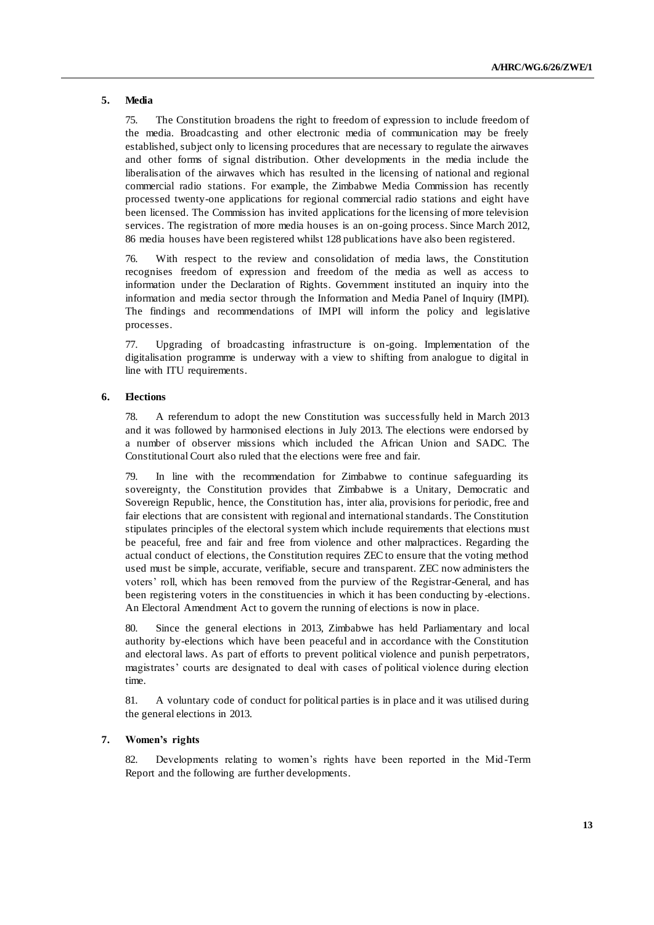## **5. Media**

75. The Constitution broadens the right to freedom of expression to include freedom of the media. Broadcasting and other electronic media of communication may be freely established, subject only to licensing procedures that are necessary to regulate the airwaves and other forms of signal distribution. Other developments in the media include the liberalisation of the airwaves which has resulted in the licensing of national and regional commercial radio stations. For example, the Zimbabwe Media Commission has recently processed twenty-one applications for regional commercial radio stations and eight have been licensed. The Commission has invited applications for the licensing of more television services. The registration of more media houses is an on-going process. Since March 2012, 86 media houses have been registered whilst 128 publications have also been registered.

76. With respect to the review and consolidation of media laws, the Constitution recognises freedom of expression and freedom of the media as well as access to information under the Declaration of Rights. Government instituted an inquiry into the information and media sector through the Information and Media Panel of Inquiry (IMPI). The findings and recommendations of IMPI will inform the policy and legislative processes.

77. Upgrading of broadcasting infrastructure is on-going. Implementation of the digitalisation programme is underway with a view to shifting from analogue to digital in line with ITU requirements.

## **6. Elections**

78. A referendum to adopt the new Constitution was successfully held in March 2013 and it was followed by harmonised elections in July 2013. The elections were endorsed by a number of observer missions which included the African Union and SADC. The Constitutional Court also ruled that the elections were free and fair.

79. In line with the recommendation for Zimbabwe to continue safeguarding its sovereignty, the Constitution provides that Zimbabwe is a Unitary, Democratic and Sovereign Republic, hence, the Constitution has, inter alia, provisions for periodic, free and fair elections that are consistent with regional and international standards. The Constitution stipulates principles of the electoral system which include requirements that elections must be peaceful, free and fair and free from violence and other malpractices. Regarding the actual conduct of elections, the Constitution requires ZEC to ensure that the voting method used must be simple, accurate, verifiable, secure and transparent. ZEC now administers the voters' roll, which has been removed from the purview of the Registrar-General, and has been registering voters in the constituencies in which it has been conducting by -elections. An Electoral Amendment Act to govern the running of elections is now in place.

80. Since the general elections in 2013, Zimbabwe has held Parliamentary and local authority by-elections which have been peaceful and in accordance with the Constitution and electoral laws. As part of efforts to prevent political violence and punish perpetrators, magistrates' courts are designated to deal with cases of political violence during election time.

81. A voluntary code of conduct for political parties is in place and it was utilised during the general elections in 2013.

## **7. Women's rights**

82. Developments relating to women's rights have been reported in the Mid -Term Report and the following are further developments.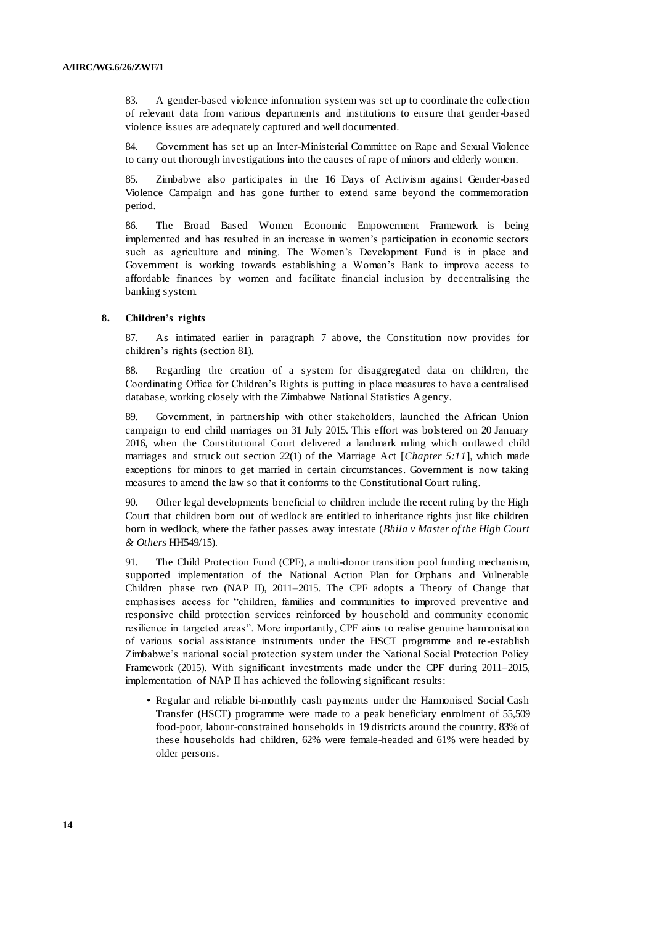83. A gender-based violence information system was set up to coordinate the collection of relevant data from various departments and institutions to ensure that gender-based violence issues are adequately captured and well documented.

84. Government has set up an Inter-Ministerial Committee on Rape and Sexual Violence to carry out thorough investigations into the causes of rape of minors and elderly women.

85. Zimbabwe also participates in the 16 Days of Activism against Gender-based Violence Campaign and has gone further to extend same beyond the commemoration period.

86. The Broad Based Women Economic Empowerment Framework is being implemented and has resulted in an increase in women's participation in economic sectors such as agriculture and mining. The Women's Development Fund is in place and Government is working towards establishing a Women's Bank to improve access to affordable finances by women and facilitate financial inclusion by decentralising the banking system.

## **8. Children's rights**

87. As intimated earlier in paragraph 7 above, the Constitution now provides for children's rights (section 81).

88. Regarding the creation of a system for disaggregated data on children, the Coordinating Office for Children's Rights is putting in place measures to have a centralised database, working closely with the Zimbabwe National Statistics Agency.

Government, in partnership with other stakeholders, launched the African Union campaign to end child marriages on 31 July 2015. This effort was bolstered on 20 January 2016, when the Constitutional Court delivered a landmark ruling which outlawed child marriages and struck out section 22(1) of the Marriage Act [*Chapter 5:11*], which made exceptions for minors to get married in certain circumstances. Government is now taking measures to amend the law so that it conforms to the Constitutional Court ruling.

90. Other legal developments beneficial to children include the recent ruling by the High Court that children born out of wedlock are entitled to inheritance rights just like children born in wedlock, where the father passes away intestate (*Bhila v Master of the High Court & Others* HH549/15).

91. The Child Protection Fund (CPF), a multi-donor transition pool funding mechanism, supported implementation of the National Action Plan for Orphans and Vulnerable Children phase two (NAP II), 2011–2015. The CPF adopts a Theory of Change that emphasises access for "children, families and communities to improved preventive and responsive child protection services reinforced by household and community economic resilience in targeted areas". More importantly, CPF aims to realise genuine harmonisation of various social assistance instruments under the HSCT programme and re -establish Zimbabwe's national social protection system under the National Social Protection Policy Framework (2015). With significant investments made under the CPF during 2011–2015, implementation of NAP II has achieved the following significant results:

• Regular and reliable bi-monthly cash payments under the Harmonised Social Cash Transfer (HSCT) programme were made to a peak beneficiary enrolment of 55,509 food-poor, labour-constrained households in 19 districts around the country. 83% of these households had children, 62% were female-headed and 61% were headed by older persons.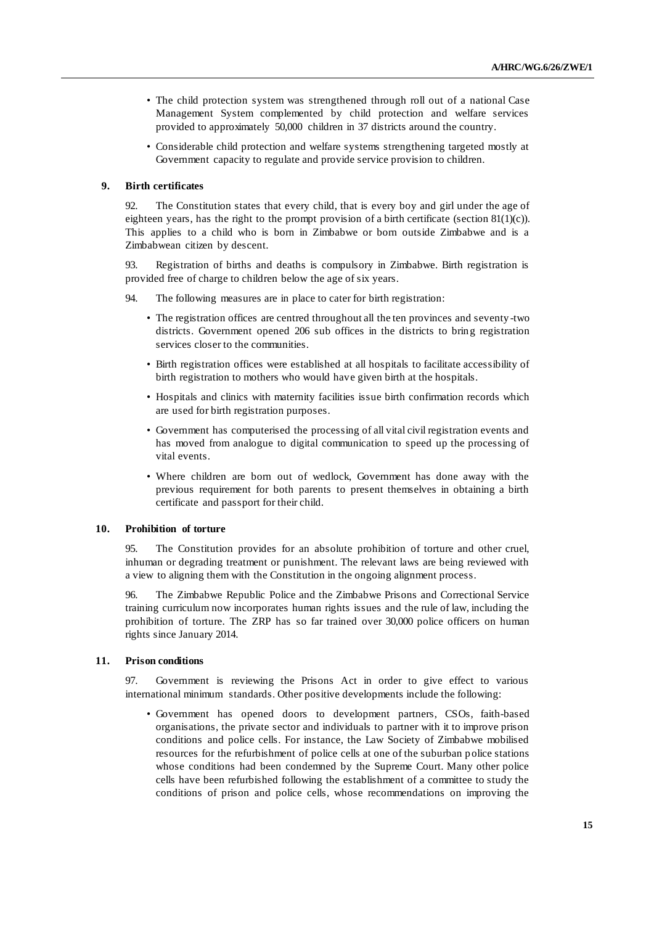- The child protection system was strengthened through roll out of a national Case Management System complemented by child protection and welfare services provided to approximately 50,000 children in 37 districts around the country.
- Considerable child protection and welfare systems strengthening targeted mostly at Government capacity to regulate and provide service provision to children.

## **9. Birth certificates**

92. The Constitution states that every child, that is every boy and girl under the age of eighteen years, has the right to the prompt provision of a birth certificate (section  $81(1)(c)$ ). This applies to a child who is born in Zimbabwe or born outside Zimbabwe and is a Zimbabwean citizen by descent.

93. Registration of births and deaths is compulsory in Zimbabwe. Birth registration is provided free of charge to children below the age of six years.

94. The following measures are in place to cater for birth registration:

- The registration offices are centred throughout all the ten provinces and seventy -two districts. Government opened 206 sub offices in the districts to bring registration services closer to the communities.
- Birth registration offices were established at all hospitals to facilitate accessibility of birth registration to mothers who would have given birth at the hospitals.
- Hospitals and clinics with maternity facilities issue birth confirmation records which are used for birth registration purposes.
- Government has computerised the processing of all vital civil registration events and has moved from analogue to digital communication to speed up the processing of vital events.
- Where children are born out of wedlock, Government has done away with the previous requirement for both parents to present themselves in obtaining a birth certificate and passport for their child.

## **10. Prohibition of torture**

95. The Constitution provides for an absolute prohibition of torture and other cruel, inhuman or degrading treatment or punishment. The relevant laws are being reviewed with a view to aligning them with the Constitution in the ongoing alignment process.

96. The Zimbabwe Republic Police and the Zimbabwe Prisons and Correctional Service training curriculum now incorporates human rights issues and the rule of law, including the prohibition of torture. The ZRP has so far trained over 30,000 police officers on human rights since January 2014.

## **11. Prison conditions**

97. Government is reviewing the Prisons Act in order to give effect to various international minimum standards. Other positive developments include the following:

• Government has opened doors to development partners, CSOs, faith-based organisations, the private sector and individuals to partner with it to improve prison conditions and police cells. For instance, the Law Society of Zimbabwe mobilised resources for the refurbishment of police cells at one of the suburban police stations whose conditions had been condemned by the Supreme Court. Many other police cells have been refurbished following the establishment of a committee to study the conditions of prison and police cells, whose recommendations on improving the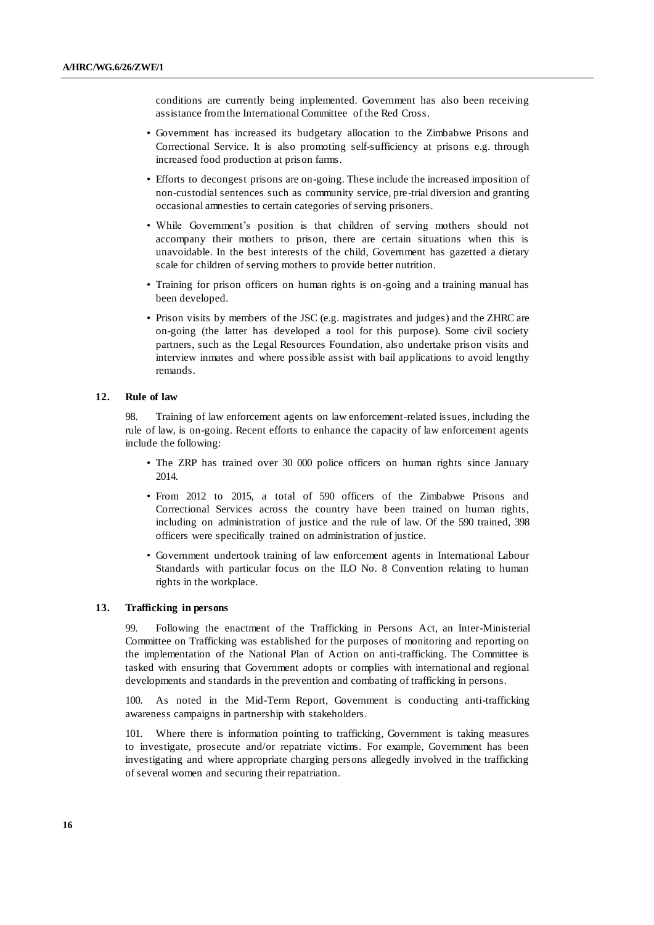conditions are currently being implemented. Government has also been receiving assistance from the International Committee of the Red Cross.

- Government has increased its budgetary allocation to the Zimbabwe Prisons and Correctional Service. It is also promoting self-sufficiency at prisons e.g. through increased food production at prison farms.
- Efforts to decongest prisons are on-going. These include the increased imposition of non-custodial sentences such as community service, pre-trial diversion and granting occasional amnesties to certain categories of serving prisoners.
- While Government's position is that children of serving mothers should not accompany their mothers to prison, there are certain situations when this is unavoidable. In the best interests of the child, Government has gazetted a dietary scale for children of serving mothers to provide better nutrition.
- Training for prison officers on human rights is on-going and a training manual has been developed.
- Prison visits by members of the JSC (e.g. magistrates and judges) and the ZHRC are on-going (the latter has developed a tool for this purpose). Some civil society partners, such as the Legal Resources Foundation, also undertake prison visits and interview inmates and where possible assist with bail applications to avoid lengthy remands.

#### **12. Rule of law**

98. Training of law enforcement agents on law enforcement-related issues, including the rule of law, is on-going. Recent efforts to enhance the capacity of law enforcement agents include the following:

- The ZRP has trained over 30 000 police officers on human rights since January 2014.
- From 2012 to 2015, a total of 590 officers of the Zimbabwe Prisons and Correctional Services across the country have been trained on human rights, including on administration of justice and the rule of law. Of the 590 trained, 398 officers were specifically trained on administration of justice.
- Government undertook training of law enforcement agents in International Labour Standards with particular focus on the ILO No. 8 Convention relating to human rights in the workplace.

## **13. Trafficking in persons**

99. Following the enactment of the Trafficking in Persons Act, an Inter-Ministerial Committee on Trafficking was established for the purposes of monitoring and reporting on the implementation of the National Plan of Action on anti-trafficking. The Committee is tasked with ensuring that Government adopts or complies with international and regional developments and standards in the prevention and combating of trafficking in persons.

100. As noted in the Mid-Term Report, Government is conducting anti-trafficking awareness campaigns in partnership with stakeholders.

101. Where there is information pointing to trafficking, Government is taking measures to investigate, prosecute and/or repatriate victims. For example, Government has been investigating and where appropriate charging persons allegedly involved in the trafficking of several women and securing their repatriation.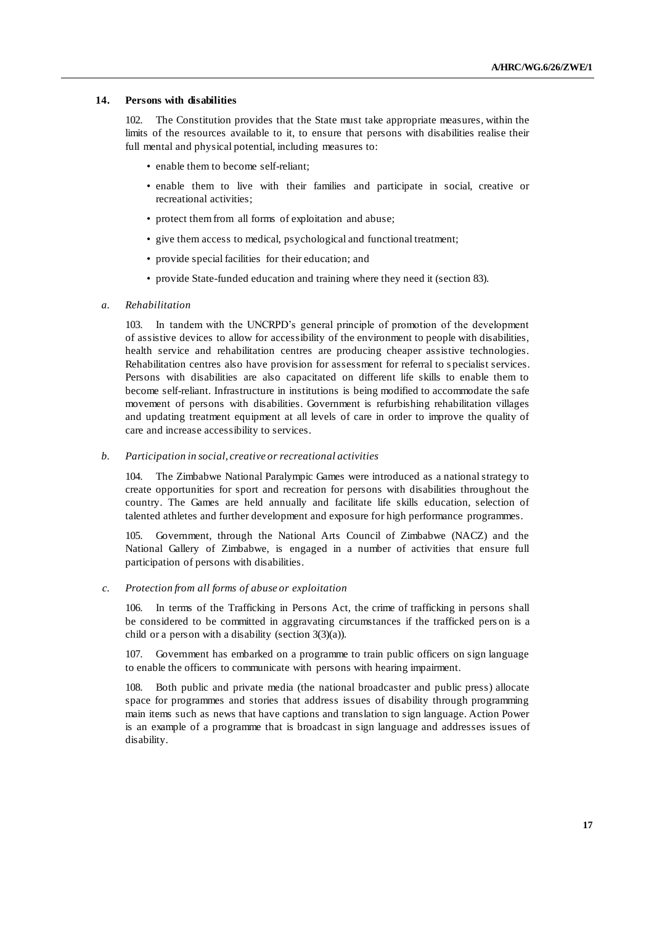## **14. Persons with disabilities**

102. The Constitution provides that the State must take appropriate measures, within the limits of the resources available to it, to ensure that persons with disabilities realise their full mental and physical potential, including measures to:

- enable them to become self-reliant;
- enable them to live with their families and participate in social, creative or recreational activities;
- protect them from all forms of exploitation and abuse;
- give them access to medical, psychological and functional treatment;
- provide special facilities for their education; and
- provide State-funded education and training where they need it (section 83).
- *a. Rehabilitation*

103. In tandem with the UNCRPD's general principle of promotion of the development of assistive devices to allow for accessibility of the environment to people with disabilities, health service and rehabilitation centres are producing cheaper assistive technologies. Rehabilitation centres also have provision for assessment for referral to s pecialist services. Persons with disabilities are also capacitated on different life skills to enable them to become self-reliant. Infrastructure in institutions is being modified to accommodate the safe movement of persons with disabilities. Government is refurbishing rehabilitation villages and updating treatment equipment at all levels of care in order to improve the quality of care and increase accessibility to services.

*b. Participation in social, creative or recreational activities*

104. The Zimbabwe National Paralympic Games were introduced as a national strategy to create opportunities for sport and recreation for persons with disabilities throughout the country. The Games are held annually and facilitate life skills education, selection of talented athletes and further development and exposure for high performance programmes.

105. Government, through the National Arts Council of Zimbabwe (NACZ) and the National Gallery of Zimbabwe, is engaged in a number of activities that ensure full participation of persons with disabilities.

*c. Protection from all forms of abuse or exploitation*

106. In terms of the Trafficking in Persons Act, the crime of trafficking in persons shall be considered to be committed in aggravating circumstances if the trafficked pers on is a child or a person with a disability (section  $3(3)(a)$ ).

107. Government has embarked on a programme to train public officers on sign language to enable the officers to communicate with persons with hearing impairment.

Both public and private media (the national broadcaster and public press) allocate space for programmes and stories that address issues of disability through programming main items such as news that have captions and translation to sign language. Action Power is an example of a programme that is broadcast in sign language and addresses issues of disability.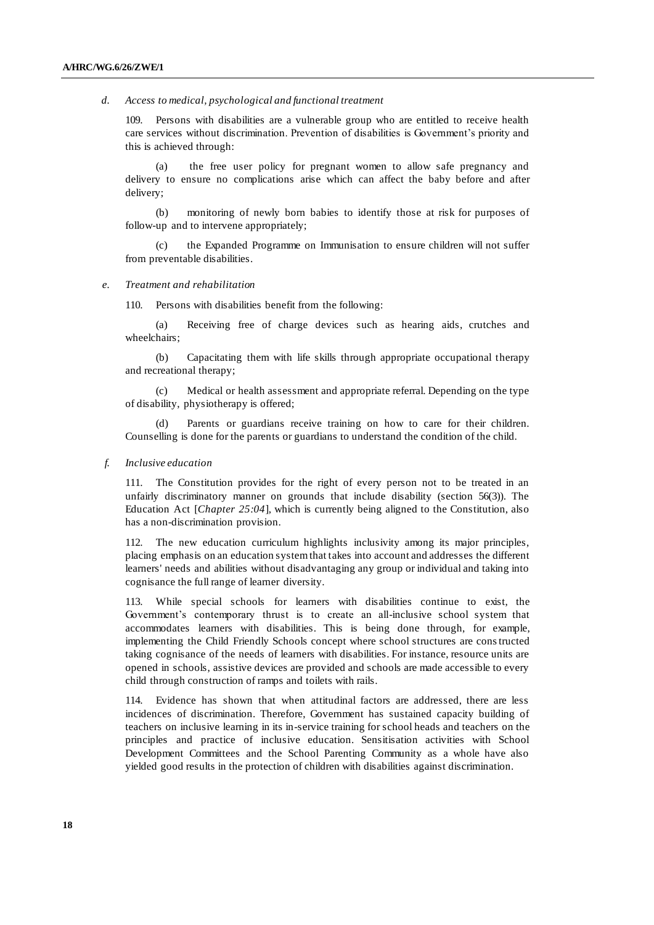#### *d. Access to medical, psychological and functional treatment*

109. Persons with disabilities are a vulnerable group who are entitled to receive health care services without discrimination. Prevention of disabilities is Government's priority and this is achieved through:

(a) the free user policy for pregnant women to allow safe pregnancy and delivery to ensure no complications arise which can affect the baby before and after delivery;

(b) monitoring of newly born babies to identify those at risk for purposes of follow-up and to intervene appropriately;

the Expanded Programme on Immunisation to ensure children will not suffer from preventable disabilities.

*e. Treatment and rehabilitation*

110. Persons with disabilities benefit from the following:

(a) Receiving free of charge devices such as hearing aids, crutches and wheelchairs;

(b) Capacitating them with life skills through appropriate occupational therapy and recreational therapy;

(c) Medical or health assessment and appropriate referral. Depending on the type of disability, physiotherapy is offered;

(d) Parents or guardians receive training on how to care for their children. Counselling is done for the parents or guardians to understand the condition of the child.

#### *f. Inclusive education*

111. The Constitution provides for the right of every person not to be treated in an unfairly discriminatory manner on grounds that include disability (section 56(3)). The Education Act [*Chapter 25:04*], which is currently being aligned to the Constitution, also has a non-discrimination provision.

The new education curriculum highlights inclusivity among its major principles, placing emphasis on an education system that takes into account and addresses the different learners' needs and abilities without disadvantaging any group or individual and taking into cognisance the full range of learner diversity.

113. While special schools for learners with disabilities continue to exist, the Government's contemporary thrust is to create an all-inclusive school system that accommodates learners with disabilities. This is being done through, for example, implementing the Child Friendly Schools concept where school structures are constructed taking cognisance of the needs of learners with disabilities. For instance, resource units are opened in schools, assistive devices are provided and schools are made accessible to every child through construction of ramps and toilets with rails.

114. Evidence has shown that when attitudinal factors are addressed, there are less incidences of discrimination. Therefore, Government has sustained capacity building of teachers on inclusive learning in its in-service training for school heads and teachers on the principles and practice of inclusive education. Sensitisation activities with School Development Committees and the School Parenting Community as a whole have also yielded good results in the protection of children with disabilities against discrimination.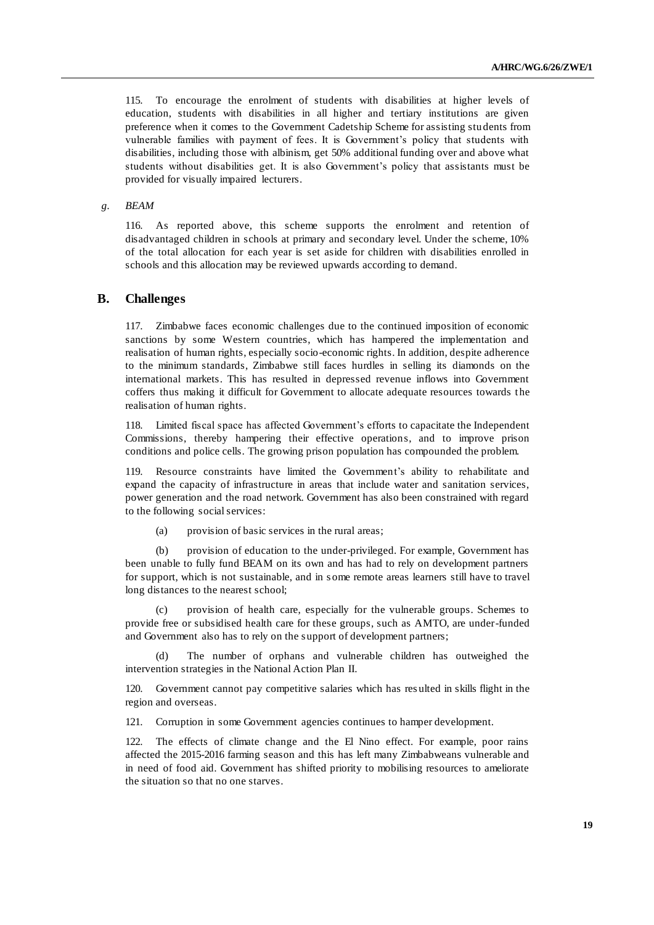115. To encourage the enrolment of students with disabilities at higher levels of education, students with disabilities in all higher and tertiary institutions are given preference when it comes to the Government Cadetship Scheme for assisting stu dents from vulnerable families with payment of fees. It is Government's policy that students with disabilities, including those with albinism, get 50% additional funding over and above what students without disabilities get. It is also Government's policy that assistants must be provided for visually impaired lecturers.

## *g. BEAM*

116. As reported above, this scheme supports the enrolment and retention of disadvantaged children in schools at primary and secondary level. Under the scheme, 10% of the total allocation for each year is set aside for children with disabilities enrolled in schools and this allocation may be reviewed upwards according to demand.

## **B. Challenges**

117. Zimbabwe faces economic challenges due to the continued imposition of economic sanctions by some Western countries, which has hampered the implementation and realisation of human rights, especially socio-economic rights. In addition, despite adherence to the minimum standards, Zimbabwe still faces hurdles in selling its diamonds on the international markets. This has resulted in depressed revenue inflows into Government coffers thus making it difficult for Government to allocate adequate resources towards t he realisation of human rights.

118. Limited fiscal space has affected Government's efforts to capacitate the Independent Commissions, thereby hampering their effective operations, and to improve prison conditions and police cells. The growing prison population has compounded the problem.

119. Resource constraints have limited the Government's ability to rehabilitate and expand the capacity of infrastructure in areas that include water and sanitation services, power generation and the road network. Government has also been constrained with regard to the following social services:

(a) provision of basic services in the rural areas;

(b) provision of education to the under-privileged. For example, Government has been unable to fully fund BEAM on its own and has had to rely on development partners for support, which is not sustainable, and in s ome remote areas learners still have to travel long distances to the nearest school;

provision of health care, especially for the vulnerable groups. Schemes to provide free or subsidised health care for these groups, such as AMTO, are under-funded and Government also has to rely on the support of development partners;

The number of orphans and vulnerable children has outweighed the intervention strategies in the National Action Plan II.

120. Government cannot pay competitive salaries which has res ulted in skills flight in the region and overseas.

121. Corruption in some Government agencies continues to hamper development.

122. The effects of climate change and the El Nino effect. For example, poor rains affected the 2015-2016 farming season and this has left many Zimbabweans vulnerable and in need of food aid. Government has shifted priority to mobilising resources to ameliorate the situation so that no one starves.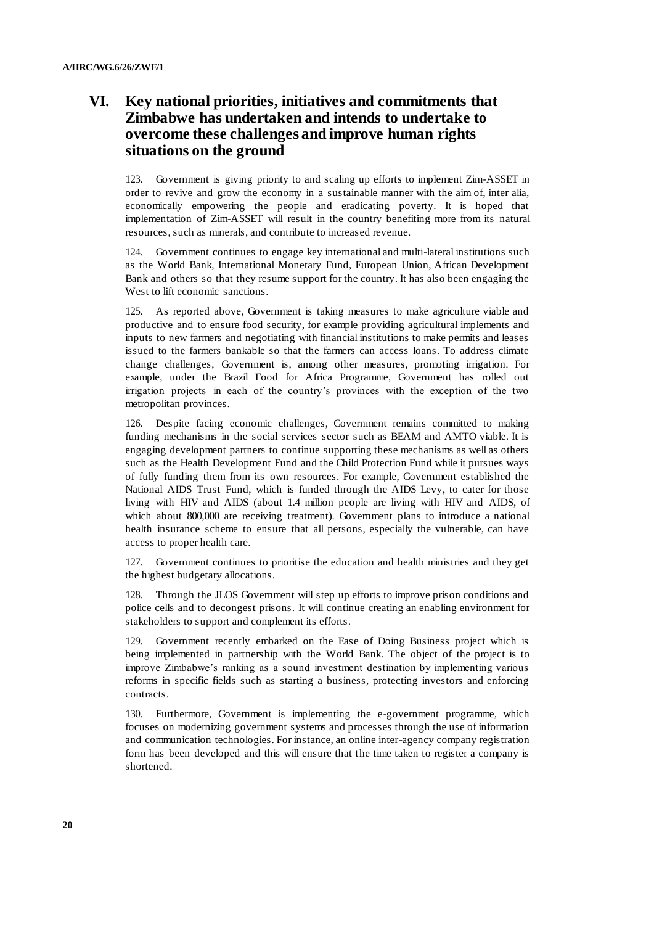# **VI. Key national priorities, initiatives and commitments that Zimbabwe has undertaken and intends to undertake to overcome these challenges and improve human rights situations on the ground**

123. Government is giving priority to and scaling up efforts to implement Zim-ASSET in order to revive and grow the economy in a sustainable manner with the aim of, inter alia, economically empowering the people and eradicating poverty. It is hoped that implementation of Zim-ASSET will result in the country benefiting more from its natural resources, such as minerals, and contribute to increased revenue.

124. Government continues to engage key international and multi-lateral institutions such as the World Bank, International Monetary Fund, European Union, African Development Bank and others so that they resume support for the country. It has also been engaging the West to lift economic sanctions.

125. As reported above, Government is taking measures to make agriculture viable and productive and to ensure food security, for example providing agricultural implements and inputs to new farmers and negotiating with financial institutions to make permits and leases issued to the farmers bankable so that the farmers can access loans. To address climate change challenges, Government is, among other measures, promoting irrigation. For example, under the Brazil Food for Africa Programme, Government has rolled out irrigation projects in each of the country's provinces with the exception of the two metropolitan provinces.

126. Despite facing economic challenges, Government remains committed to making funding mechanisms in the social services sector such as BEAM and AMTO viable. It is engaging development partners to continue supporting these mechanisms as well as others such as the Health Development Fund and the Child Protection Fund while it pursues ways of fully funding them from its own resources. For example, Government established the National AIDS Trust Fund, which is funded through the AIDS Levy, to cater for those living with HIV and AIDS (about 1.4 million people are living with HIV and AIDS, of which about 800,000 are receiving treatment). Government plans to introduce a national health insurance scheme to ensure that all persons, especially the vulnerable, can have access to proper health care.

127. Government continues to prioritise the education and health ministries and they get the highest budgetary allocations.

128. Through the JLOS Government will step up efforts to improve prison conditions and police cells and to decongest prisons. It will continue creating an enabling environment for stakeholders to support and complement its efforts.

129. Government recently embarked on the Ease of Doing Business project which is being implemented in partnership with the World Bank. The object of the project is to improve Zimbabwe's ranking as a sound investment destination by implementing various reforms in specific fields such as starting a business, protecting investors and enforcing contracts.

130. Furthermore, Government is implementing the e-government programme, which focuses on modernizing government systems and processes through the use of information and communication technologies. For instance, an online inter-agency company registration form has been developed and this will ensure that the time taken to register a company is shortened.